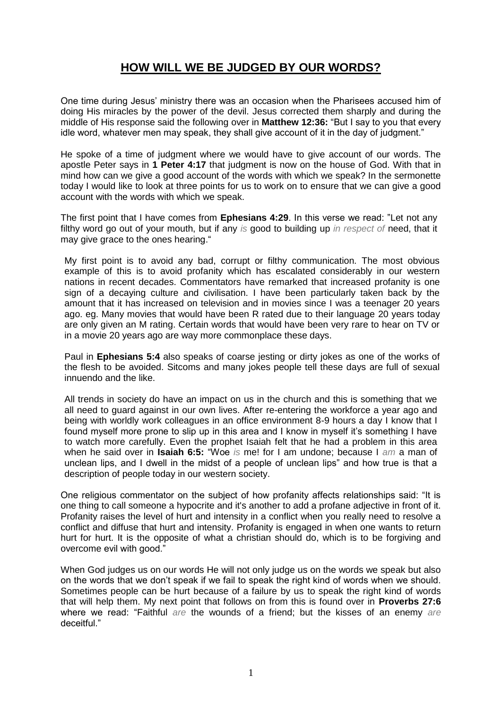## **HOW WILL WE BE JUDGED BY OUR WORDS?**

One time during Jesus" ministry there was an occasion when the Pharisees accused him of doing His miracles by the power of the devil. Jesus corrected them sharply and during the middle of His response said the following over in **Matthew 12:36:** "But I say to you that every idle word, whatever men may speak, they shall give account of it in the day of judgment."

He spoke of a time of judgment where we would have to give account of our words. The apostle Peter says in **1 Peter 4:17** that judgment is now on the house of God. With that in mind how can we give a good account of the words with which we speak? In the sermonette today I would like to look at three points for us to work on to ensure that we can give a good account with the words with which we speak.

The first point that I have comes from **Ephesians 4:29**. In this verse we read: "Let not any filthy word go out of your mouth, but if any *is* good to building up *in respect of* need, that it may give grace to the ones hearing."

My first point is to avoid any bad, corrupt or filthy communication. The most obvious example of this is to avoid profanity which has escalated considerably in our western nations in recent decades. Commentators have remarked that increased profanity is one sign of a decaying culture and civilisation. I have been particularly taken back by the amount that it has increased on television and in movies since I was a teenager 20 years ago. eg. Many movies that would have been R rated due to their language 20 years today are only given an M rating. Certain words that would have been very rare to hear on TV or in a movie 20 years ago are way more commonplace these days.

Paul in **Ephesians 5:4** also speaks of coarse jesting or dirty jokes as one of the works of the flesh to be avoided. Sitcoms and many jokes people tell these days are full of sexual innuendo and the like.

All trends in society do have an impact on us in the church and this is something that we all need to guard against in our own lives. After re-entering the workforce a year ago and being with worldly work colleagues in an office environment 8-9 hours a day I know that I found myself more prone to slip up in this area and I know in myself it's something I have to watch more carefully. Even the prophet Isaiah felt that he had a problem in this area when he said over in **Isaiah 6:5:** "Woe *is* me! for I am undone; because I *am* a man of unclean lips, and I dwell in the midst of a people of unclean lips" and how true is that a description of people today in our western society.

One religious commentator on the subject of how profanity affects relationships said: "It is one thing to call someone a hypocrite and it's another to add a profane adjective in front of it. Profanity raises the level of hurt and intensity in a conflict when you really need to resolve a conflict and diffuse that hurt and intensity. Profanity is engaged in when one wants to return hurt for hurt. It is the opposite of what a christian should do, which is to be forgiving and overcome evil with good."

When God judges us on our words He will not only judge us on the words we speak but also on the words that we don"t speak if we fail to speak the right kind of words when we should. Sometimes people can be hurt because of a failure by us to speak the right kind of words that will help them. My next point that follows on from this is found over in **Proverbs 27:6** where we read: "Faithful *are* the wounds of a friend; but the kisses of an enemy *are* deceitful."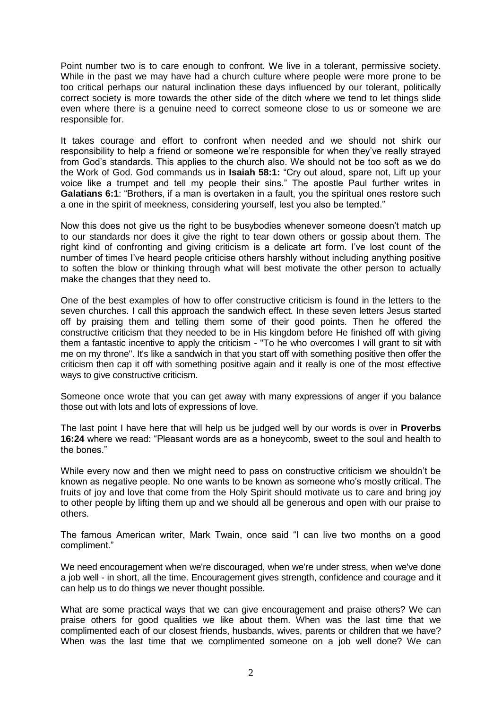Point number two is to care enough to confront. We live in a tolerant, permissive society. While in the past we may have had a church culture where people were more prone to be too critical perhaps our natural inclination these days influenced by our tolerant, politically correct society is more towards the other side of the ditch where we tend to let things slide even where there is a genuine need to correct someone close to us or someone we are responsible for.

It takes courage and effort to confront when needed and we should not shirk our responsibility to help a friend or someone we"re responsible for when they"ve really strayed from God"s standards. This applies to the church also. We should not be too soft as we do the Work of God. God commands us in **Isaiah 58:1:** "Cry out aloud, spare not, Lift up your voice like a trumpet and tell my people their sins." The apostle Paul further writes in **Galatians 6:1**: "Brothers, if a man is overtaken in a fault, you the spiritual ones restore such a one in the spirit of meekness, considering yourself, lest you also be tempted."

Now this does not give us the right to be busybodies whenever someone doesn"t match up to our standards nor does it give the right to tear down others or gossip about them. The right kind of confronting and giving criticism is a delicate art form. I"ve lost count of the number of times I"ve heard people criticise others harshly without including anything positive to soften the blow or thinking through what will best motivate the other person to actually make the changes that they need to.

One of the best examples of how to offer constructive criticism is found in the letters to the seven churches. I call this approach the sandwich effect. In these seven letters Jesus started off by praising them and telling them some of their good points. Then he offered the constructive criticism that they needed to be in His kingdom before He finished off with giving them a fantastic incentive to apply the criticism - "To he who overcomes I will grant to sit with me on my throne". It's like a sandwich in that you start off with something positive then offer the criticism then cap it off with something positive again and it really is one of the most effective ways to give constructive criticism.

Someone once wrote that you can get away with many expressions of anger if you balance those out with lots and lots of expressions of love.

The last point I have here that will help us be judged well by our words is over in **Proverbs 16:24** where we read: "Pleasant words are as a honeycomb, sweet to the soul and health to the bones."

While every now and then we might need to pass on constructive criticism we shouldn"t be known as negative people. No one wants to be known as someone who"s mostly critical. The fruits of joy and love that come from the Holy Spirit should motivate us to care and bring joy to other people by lifting them up and we should all be generous and open with our praise to others.

The famous American writer, Mark Twain, once said "I can live two months on a good compliment."

We need encouragement when we're discouraged, when we're under stress, when we've done a job well - in short, all the time. Encouragement gives strength, confidence and courage and it can help us to do things we never thought possible.

What are some practical ways that we can give encouragement and praise others? We can praise others for good qualities we like about them. When was the last time that we complimented each of our closest friends, husbands, wives, parents or children that we have? When was the last time that we complimented someone on a job well done? We can